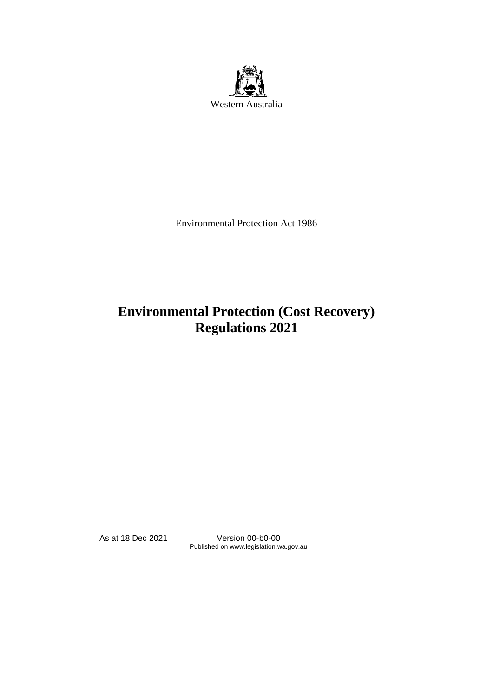

Environmental Protection Act 1986

# **Environmental Protection (Cost Recovery) Regulations 2021**

As at 18 Dec 2021 Version 00-b0-00 Published on www.legislation.wa.gov.au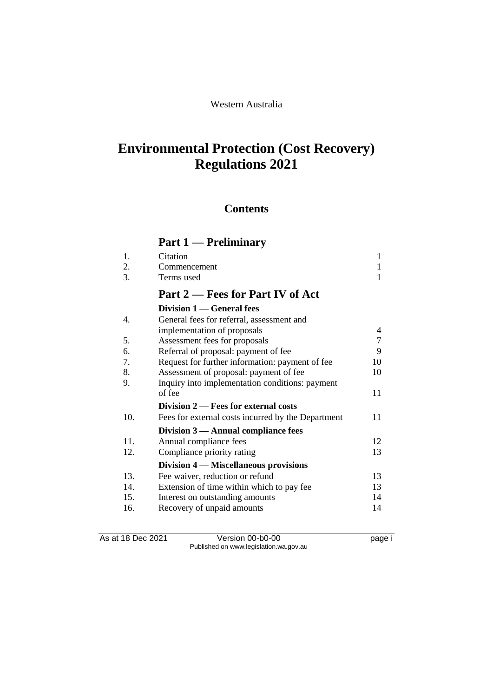#### Western Australia

## **Environmental Protection (Cost Recovery) Regulations 2021**

### **Contents**

## **Part 1 Prelimin**

|     | Part 1 — Preliminary                               |    |
|-----|----------------------------------------------------|----|
| 1.  | Citation                                           | 1  |
| 2.  | Commencement                                       | 1  |
| 3.  | Terms used                                         | 1  |
|     | Part 2 – Fees for Part IV of Act                   |    |
|     | Division 1 — General fees                          |    |
| 4.  | General fees for referral, assessment and          |    |
|     | implementation of proposals                        | 4  |
| 5.  | Assessment fees for proposals                      | 7  |
| 6.  | Referral of proposal: payment of fee               | 9  |
| 7.  | Request for further information: payment of fee    | 10 |
| 8.  | Assessment of proposal: payment of fee             | 10 |
| 9.  | Inquiry into implementation conditions: payment    |    |
|     | of fee                                             | 11 |
|     | Division 2 – Fees for external costs               |    |
| 10. | Fees for external costs incurred by the Department | 11 |
|     | Division $3$ — Annual compliance fees              |    |
| 11. | Annual compliance fees                             | 12 |
| 12. | Compliance priority rating                         | 13 |
|     | Division 4 — Miscellaneous provisions              |    |
| 13. | Fee waiver, reduction or refund                    | 13 |
| 14. | Extension of time within which to pay fee          | 13 |
| 15. | Interest on outstanding amounts                    | 14 |
| 16. | Recovery of unpaid amounts                         | 14 |

As at 18 Dec 2021 Version 00-b0-00 Page i Published on www.legislation.wa.gov.au

Recovery of unpaid amounts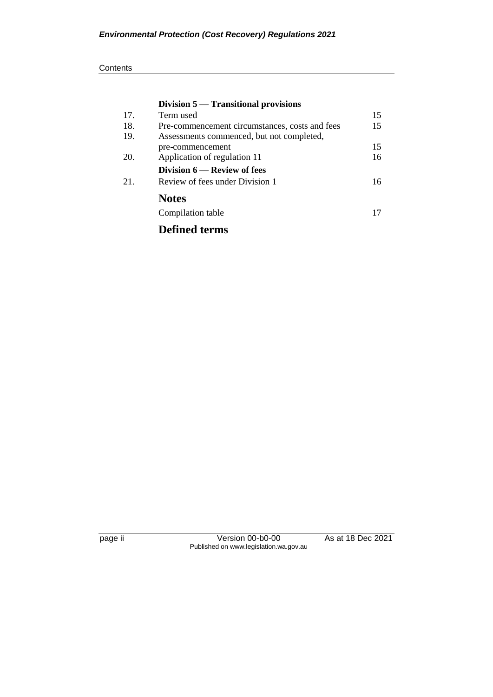|     | Division 5 — Transitional provisions           |    |
|-----|------------------------------------------------|----|
| 17. | Term used                                      | 15 |
| 18. | Pre-commencement circumstances, costs and fees | 15 |
| 19. | Assessments commenced, but not completed,      |    |
|     | pre-commencement                               | 15 |
| 20. | Application of regulation 11                   | 16 |
|     | Division 6 — Review of fees                    |    |
| 21. | Review of fees under Division 1                | 16 |
|     | <b>Notes</b>                                   |    |
|     | Compilation table                              | 17 |
|     | <b>Defined terms</b>                           |    |

page ii Version 00-b0-00 As at 18 Dec 2021 Published on www.legislation.wa.gov.au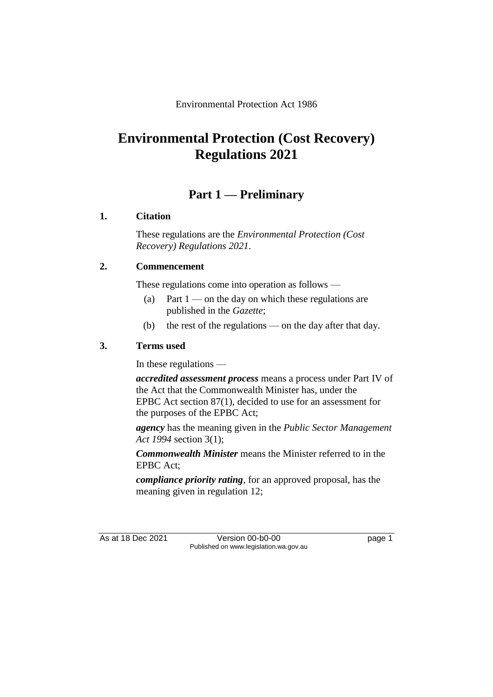Environmental Protection Act 1986

## **Environmental Protection (Cost Recovery) Regulations 2021**

### **Part 1 — Preliminary**

#### **1. Citation**

These regulations are the *Environmental Protection (Cost Recovery) Regulations 2021*.

#### **2. Commencement**

These regulations come into operation as follows —

- (a) Part  $1$  on the day on which these regulations are published in the *Gazette*;
- (b) the rest of the regulations on the day after that day.

#### **3. Terms used**

In these regulations —

*accredited assessment process* means a process under Part IV of the Act that the Commonwealth Minister has, under the EPBC Act section 87(1), decided to use for an assessment for the purposes of the EPBC Act;

*agency* has the meaning given in the *Public Sector Management Act 1994* section 3(1);

*Commonwealth Minister* means the Minister referred to in the EPBC Act;

*compliance priority rating*, for an approved proposal, has the meaning given in regulation 12;

As at 18 Dec 2021 Version 00-b0-00 page 1 Published on www.legislation.wa.gov.au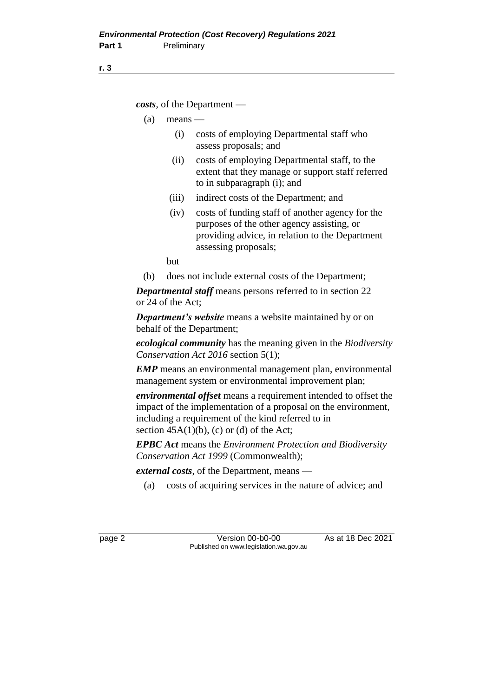*costs*, of the Department —

- $(a)$  means
	- (i) costs of employing Departmental staff who assess proposals; and
	- (ii) costs of employing Departmental staff, to the extent that they manage or support staff referred to in subparagraph (i); and
	- (iii) indirect costs of the Department; and
	- (iv) costs of funding staff of another agency for the purposes of the other agency assisting, or providing advice, in relation to the Department assessing proposals;

but

(b) does not include external costs of the Department;

*Departmental staff* means persons referred to in section 22 or 24 of the Act;

*Department's website* means a website maintained by or on behalf of the Department;

*ecological community* has the meaning given in the *Biodiversity Conservation Act 2016* section 5(1);

*EMP* means an environmental management plan, environmental management system or environmental improvement plan;

*environmental offset* means a requirement intended to offset the impact of the implementation of a proposal on the environment, including a requirement of the kind referred to in section  $45A(1)(b)$ , (c) or (d) of the Act;

*EPBC Act* means the *Environment Protection and Biodiversity Conservation Act 1999* (Commonwealth);

*external costs*, of the Department, means —

(a) costs of acquiring services in the nature of advice; and

page 2 Version 00-b0-00 As at 18 Dec 2021 Published on www.legislation.wa.gov.au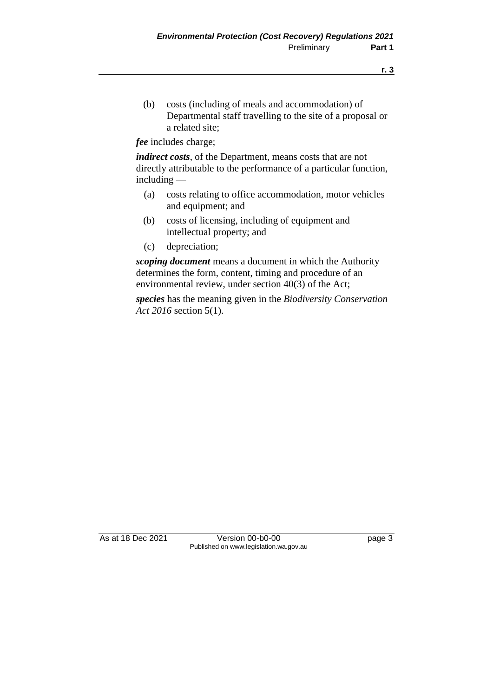(b) costs (including of meals and accommodation) of Departmental staff travelling to the site of a proposal or a related site;

*fee* includes charge;

*indirect costs*, of the Department, means costs that are not directly attributable to the performance of a particular function, including —

- (a) costs relating to office accommodation, motor vehicles and equipment; and
- (b) costs of licensing, including of equipment and intellectual property; and
- (c) depreciation;

*scoping document* means a document in which the Authority determines the form, content, timing and procedure of an environmental review, under section 40(3) of the Act;

*species* has the meaning given in the *Biodiversity Conservation Act 2016* section 5(1).

As at 18 Dec 2021 Version 00-b0-00 page 3 Published on www.legislation.wa.gov.au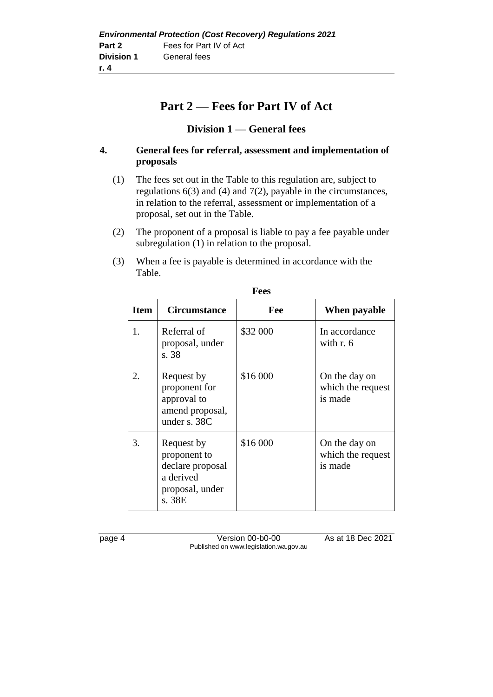## **Part 2 — Fees for Part IV of Act**

#### **Division 1 — General fees**

#### **4. General fees for referral, assessment and implementation of proposals**

- (1) The fees set out in the Table to this regulation are, subject to regulations 6(3) and (4) and 7(2), payable in the circumstances, in relation to the referral, assessment or implementation of a proposal, set out in the Table.
- (2) The proponent of a proposal is liable to pay a fee payable under subregulation (1) in relation to the proposal.
- (3) When a fee is payable is determined in accordance with the Table.

| <b>Item</b> | <b>Circumstance</b>                                                                      | Fee      | When payable                                  |
|-------------|------------------------------------------------------------------------------------------|----------|-----------------------------------------------|
| 1.          | Referral of<br>proposal, under<br>s. 38                                                  | \$32 000 | In accordance<br>with $r.6$                   |
| 2.          | Request by<br>proponent for<br>approval to<br>amend proposal,<br>under s. 38C            | \$16 000 | On the day on<br>which the request<br>is made |
| 3.          | Request by<br>proponent to<br>declare proposal<br>a derived<br>proposal, under<br>s. 38E | \$16 000 | On the day on<br>which the request<br>is made |

**Fees**

page 4 Version 00-b0-00 As at 18 Dec 2021 Published on www.legislation.wa.gov.au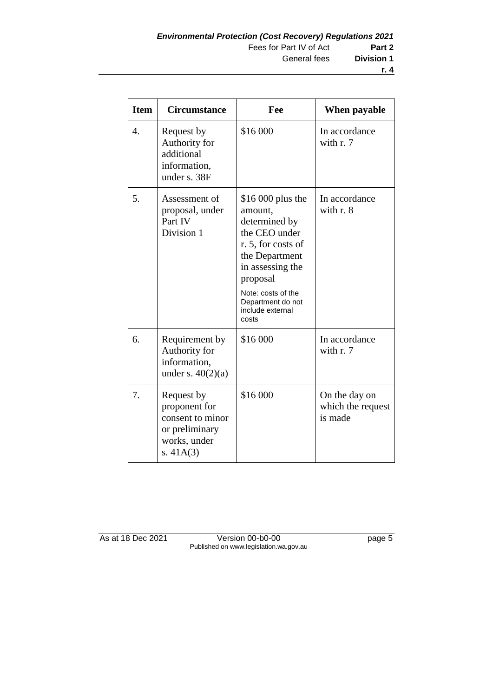| <b>Item</b> | <b>Circumstance</b>                                                                              | Fee                                                                                                                                                                                                            | When payable                                  |
|-------------|--------------------------------------------------------------------------------------------------|----------------------------------------------------------------------------------------------------------------------------------------------------------------------------------------------------------------|-----------------------------------------------|
| 4.          | Request by<br>Authority for<br>additional<br>information,<br>under s. 38F                        | \$16 000                                                                                                                                                                                                       | In accordance<br>with r. 7                    |
| 5.          | Assessment of<br>proposal, under<br>Part IV<br>Division 1                                        | \$16,000 plus the<br>amount,<br>determined by<br>the CEO under<br>r. 5, for costs of<br>the Department<br>in assessing the<br>proposal<br>Note: costs of the<br>Department do not<br>include external<br>costs | In accordance<br>with $r. 8$                  |
| 6.          | Requirement by<br>Authority for<br>information,<br>under s. $40(2)(a)$                           | \$16 000                                                                                                                                                                                                       | In accordance<br>with r. 7                    |
| 7.          | Request by<br>proponent for<br>consent to minor<br>or preliminary<br>works, under<br>s. $41A(3)$ | \$16 000                                                                                                                                                                                                       | On the day on<br>which the request<br>is made |

As at 18 Dec 2021 Version 00-b0-00 page 5 Published on www.legislation.wa.gov.au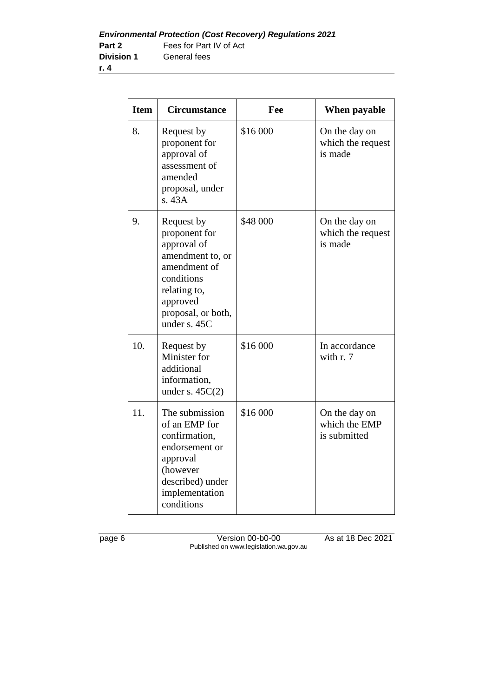| <b>Item</b> | <b>Circumstance</b>                                                                                                                                            | Fee      | When payable                                   |
|-------------|----------------------------------------------------------------------------------------------------------------------------------------------------------------|----------|------------------------------------------------|
| 8.          | Request by<br>proponent for<br>approval of<br>assessment of<br>amended<br>proposal, under<br>s.43A                                                             | \$16 000 | On the day on<br>which the request<br>is made  |
| 9.          | Request by<br>proponent for<br>approval of<br>amendment to, or<br>amendment of<br>conditions<br>relating to,<br>approved<br>proposal, or both,<br>under s. 45C | \$48 000 | On the day on<br>which the request<br>is made  |
| 10.         | Request by<br>Minister for<br>additional<br>information,<br>under s. $45C(2)$                                                                                  | \$16 000 | In accordance<br>with r. 7                     |
| 11.         | The submission<br>of an EMP for<br>confirmation,<br>endorsement or<br>approval<br>(however<br>described) under<br>implementation<br>conditions                 | \$16 000 | On the day on<br>which the EMP<br>is submitted |

page 6 Version 00-b0-00 As at 18 Dec 2021 Published on www.legislation.wa.gov.au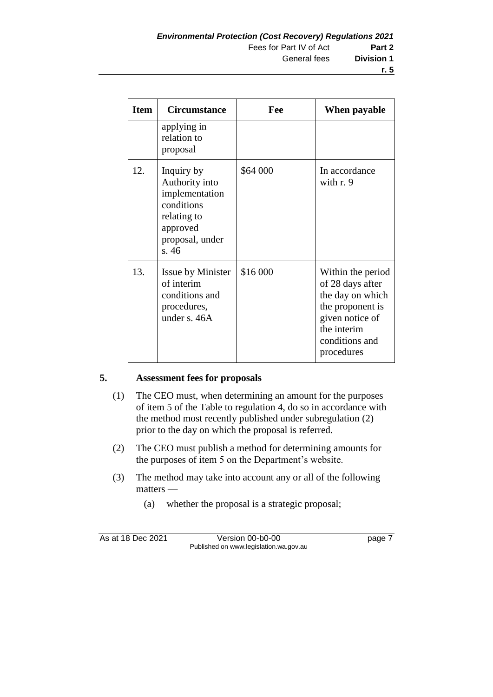| <b>Item</b> | <b>Circumstance</b>                                                                                                 | Fee      | When payable                                                                                                                                    |
|-------------|---------------------------------------------------------------------------------------------------------------------|----------|-------------------------------------------------------------------------------------------------------------------------------------------------|
|             | applying in<br>relation to<br>proposal                                                                              |          |                                                                                                                                                 |
| 12.         | Inquiry by<br>Authority into<br>implementation<br>conditions<br>relating to<br>approved<br>proposal, under<br>s. 46 | \$64 000 | In accordance<br>with $r.9$                                                                                                                     |
| 13.         | <b>Issue by Minister</b><br>of interim<br>conditions and<br>procedures,<br>under s. 46A                             | \$16 000 | Within the period<br>of 28 days after<br>the day on which<br>the proponent is<br>given notice of<br>the interim<br>conditions and<br>procedures |

#### **5. Assessment fees for proposals**

- (1) The CEO must, when determining an amount for the purposes of item 5 of the Table to regulation 4, do so in accordance with the method most recently published under subregulation (2) prior to the day on which the proposal is referred.
- (2) The CEO must publish a method for determining amounts for the purposes of item 5 on the Department's website.
- (3) The method may take into account any or all of the following matters —
	- (a) whether the proposal is a strategic proposal;

As at 18 Dec 2021 Version 00-b0-00 page 7 Published on www.legislation.wa.gov.au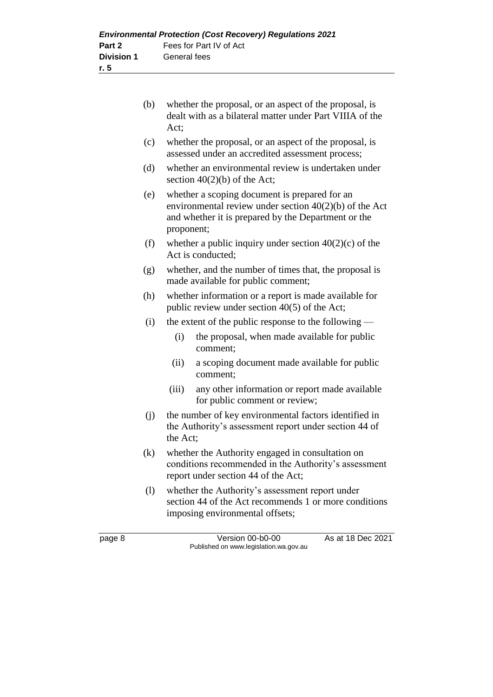|                   | <b>Environmental Protection (Cost Recovery) Regulations 2021</b> |
|-------------------|------------------------------------------------------------------|
| Part 2            | Fees for Part IV of Act                                          |
| <b>Division 1</b> | General fees                                                     |
| r. 5              |                                                                  |

| (b) | whether the proposal, or an aspect of the proposal, is   |
|-----|----------------------------------------------------------|
|     | dealt with as a bilateral matter under Part VIIIA of the |
|     | Act:                                                     |

- (c) whether the proposal, or an aspect of the proposal, is assessed under an accredited assessment process;
- (d) whether an environmental review is undertaken under section  $40(2)(b)$  of the Act;
- (e) whether a scoping document is prepared for an environmental review under section 40(2)(b) of the Act and whether it is prepared by the Department or the proponent;
- (f) whether a public inquiry under section  $40(2)(c)$  of the Act is conducted;
- (g) whether, and the number of times that, the proposal is made available for public comment;
- (h) whether information or a report is made available for public review under section 40(5) of the Act;
- (i) the extent of the public response to the following
	- (i) the proposal, when made available for public comment;
	- (ii) a scoping document made available for public comment;
	- (iii) any other information or report made available for public comment or review;
- (j) the number of key environmental factors identified in the Authority's assessment report under section 44 of the Act;
- (k) whether the Authority engaged in consultation on conditions recommended in the Authority's assessment report under section 44 of the Act;
- (l) whether the Authority's assessment report under section 44 of the Act recommends 1 or more conditions imposing environmental offsets;

page 8 Version 00-b0-00 As at 18 Dec 2021 Published on www.legislation.wa.gov.au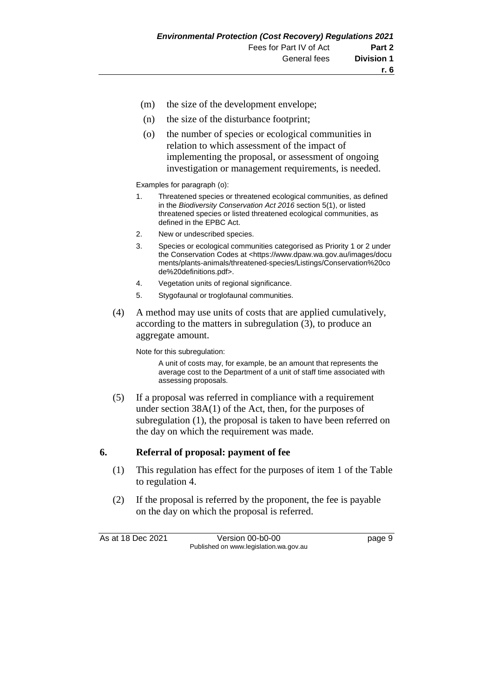- (m) the size of the development envelope;
- (n) the size of the disturbance footprint;
- (o) the number of species or ecological communities in relation to which assessment of the impact of implementing the proposal, or assessment of ongoing investigation or management requirements, is needed.

Examples for paragraph (o):

- 1. Threatened species or threatened ecological communities, as defined in the *Biodiversity Conservation Act 2016* section 5(1), or listed threatened species or listed threatened ecological communities, as defined in the EPBC Act.
- 2. New or undescribed species.
- 3. Species or ecological communities categorised as Priority 1 or 2 under the Conservation Codes at <https://www.dpaw.wa.gov.au/images/docu ments/plants-animals/threatened-species/Listings/Conservation%20co de%20definitions.pdf>.
- 4. Vegetation units of regional significance.
- 5. Stygofaunal or troglofaunal communities.
- (4) A method may use units of costs that are applied cumulatively, according to the matters in subregulation (3), to produce an aggregate amount.

Note for this subregulation:

A unit of costs may, for example, be an amount that represents the average cost to the Department of a unit of staff time associated with assessing proposals.

(5) If a proposal was referred in compliance with a requirement under section 38A(1) of the Act, then, for the purposes of subregulation (1), the proposal is taken to have been referred on the day on which the requirement was made.

#### **6. Referral of proposal: payment of fee**

- (1) This regulation has effect for the purposes of item 1 of the Table to regulation 4.
- (2) If the proposal is referred by the proponent, the fee is payable on the day on which the proposal is referred.

As at 18 Dec 2021 Version 00-b0-00 page 9 Published on www.legislation.wa.gov.au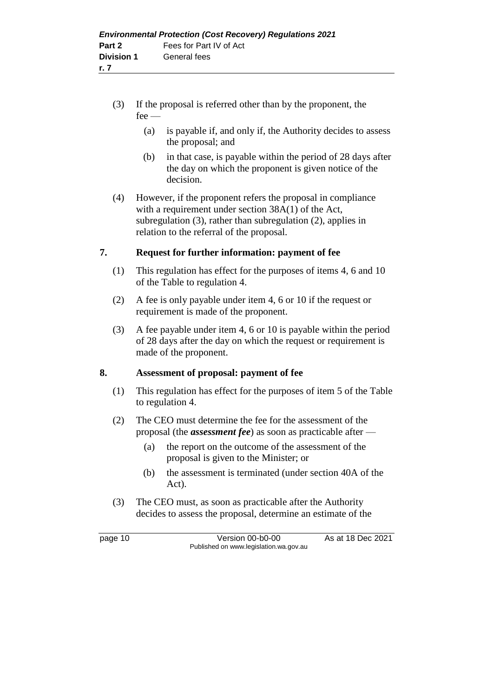- (3) If the proposal is referred other than by the proponent, the fee —
	- (a) is payable if, and only if, the Authority decides to assess the proposal; and
	- (b) in that case, is payable within the period of 28 days after the day on which the proponent is given notice of the decision.
- (4) However, if the proponent refers the proposal in compliance with a requirement under section 38A(1) of the Act, subregulation (3), rather than subregulation (2), applies in relation to the referral of the proposal.

#### **7. Request for further information: payment of fee**

- (1) This regulation has effect for the purposes of items 4, 6 and 10 of the Table to regulation 4.
- (2) A fee is only payable under item 4, 6 or 10 if the request or requirement is made of the proponent.
- (3) A fee payable under item 4, 6 or 10 is payable within the period of 28 days after the day on which the request or requirement is made of the proponent.

#### **8. Assessment of proposal: payment of fee**

- (1) This regulation has effect for the purposes of item 5 of the Table to regulation 4.
- (2) The CEO must determine the fee for the assessment of the proposal (the *assessment fee*) as soon as practicable after —
	- (a) the report on the outcome of the assessment of the proposal is given to the Minister; or
	- (b) the assessment is terminated (under section 40A of the Act).
- (3) The CEO must, as soon as practicable after the Authority decides to assess the proposal, determine an estimate of the

page 10 Version 00-b0-00 As at 18 Dec 2021 Published on www.legislation.wa.gov.au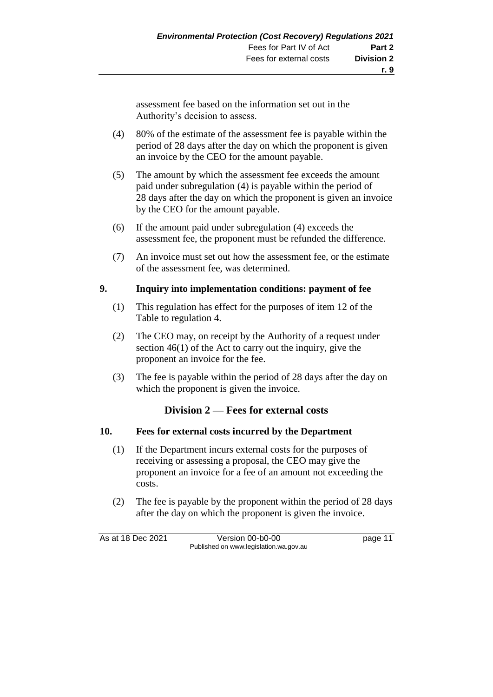assessment fee based on the information set out in the Authority's decision to assess.

- (4) 80% of the estimate of the assessment fee is payable within the period of 28 days after the day on which the proponent is given an invoice by the CEO for the amount payable.
- (5) The amount by which the assessment fee exceeds the amount paid under subregulation (4) is payable within the period of 28 days after the day on which the proponent is given an invoice by the CEO for the amount payable.
- (6) If the amount paid under subregulation (4) exceeds the assessment fee, the proponent must be refunded the difference.
- (7) An invoice must set out how the assessment fee, or the estimate of the assessment fee, was determined.

#### **9. Inquiry into implementation conditions: payment of fee**

- (1) This regulation has effect for the purposes of item 12 of the Table to regulation 4.
- (2) The CEO may, on receipt by the Authority of a request under section 46(1) of the Act to carry out the inquiry, give the proponent an invoice for the fee.
- (3) The fee is payable within the period of 28 days after the day on which the proponent is given the invoice.

#### **Division 2 — Fees for external costs**

#### **10. Fees for external costs incurred by the Department**

- (1) If the Department incurs external costs for the purposes of receiving or assessing a proposal, the CEO may give the proponent an invoice for a fee of an amount not exceeding the costs.
- (2) The fee is payable by the proponent within the period of 28 days after the day on which the proponent is given the invoice.

As at 18 Dec 2021 Version 00-b0-00 page 11 Published on www.legislation.wa.gov.au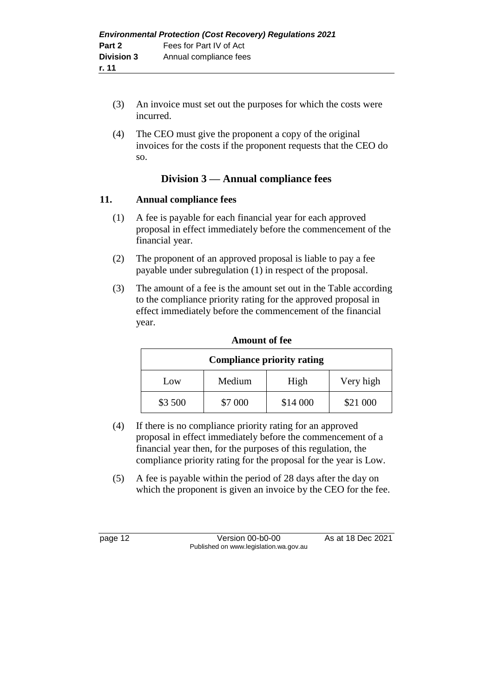- (3) An invoice must set out the purposes for which the costs were incurred.
- (4) The CEO must give the proponent a copy of the original invoices for the costs if the proponent requests that the CEO do so.

#### **Division 3 — Annual compliance fees**

#### **11. Annual compliance fees**

- (1) A fee is payable for each financial year for each approved proposal in effect immediately before the commencement of the financial year.
- (2) The proponent of an approved proposal is liable to pay a fee payable under subregulation (1) in respect of the proposal.
- (3) The amount of a fee is the amount set out in the Table according to the compliance priority rating for the approved proposal in effect immediately before the commencement of the financial year.

| <b>Compliance priority rating</b>  |         |          |          |  |
|------------------------------------|---------|----------|----------|--|
| Very high<br>High<br>Medium<br>Low |         |          |          |  |
| \$3 500                            | \$7 000 | \$14 000 | \$21 000 |  |

#### **Amount of fee**

- (4) If there is no compliance priority rating for an approved proposal in effect immediately before the commencement of a financial year then, for the purposes of this regulation, the compliance priority rating for the proposal for the year is Low.
- (5) A fee is payable within the period of 28 days after the day on which the proponent is given an invoice by the CEO for the fee.

page 12 Version 00-b0-00 As at 18 Dec 2021 Published on www.legislation.wa.gov.au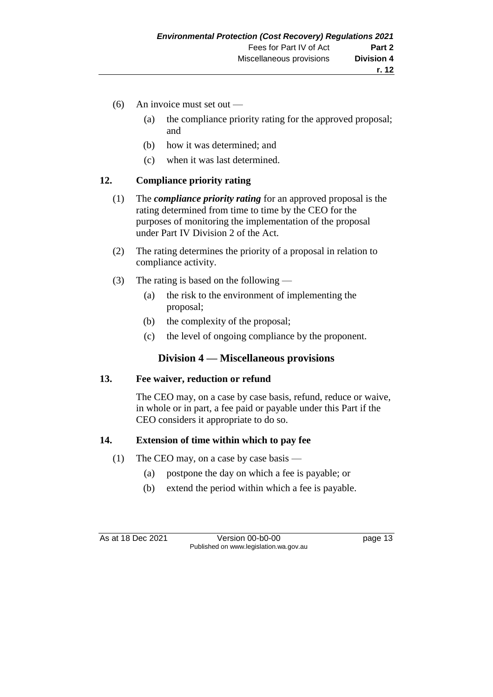- (6) An invoice must set out
	- (a) the compliance priority rating for the approved proposal; and
	- (b) how it was determined; and
	- (c) when it was last determined.

#### **12. Compliance priority rating**

- (1) The *compliance priority rating* for an approved proposal is the rating determined from time to time by the CEO for the purposes of monitoring the implementation of the proposal under Part IV Division 2 of the Act.
- (2) The rating determines the priority of a proposal in relation to compliance activity.
- (3) The rating is based on the following
	- (a) the risk to the environment of implementing the proposal;
	- (b) the complexity of the proposal;
	- (c) the level of ongoing compliance by the proponent.

#### **Division 4 — Miscellaneous provisions**

#### **13. Fee waiver, reduction or refund**

The CEO may, on a case by case basis, refund, reduce or waive, in whole or in part, a fee paid or payable under this Part if the CEO considers it appropriate to do so.

#### **14. Extension of time within which to pay fee**

- (1) The CEO may, on a case by case basis
	- (a) postpone the day on which a fee is payable; or
	- (b) extend the period within which a fee is payable.

As at 18 Dec 2021 Version 00-b0-00 page 13 Published on www.legislation.wa.gov.au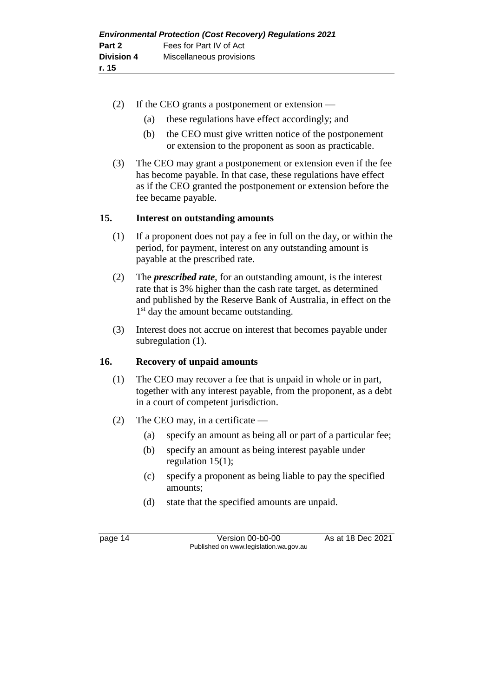- (2) If the CEO grants a postponement or extension
	- (a) these regulations have effect accordingly; and
	- (b) the CEO must give written notice of the postponement or extension to the proponent as soon as practicable.
- (3) The CEO may grant a postponement or extension even if the fee has become payable. In that case, these regulations have effect as if the CEO granted the postponement or extension before the fee became payable.

#### **15. Interest on outstanding amounts**

- (1) If a proponent does not pay a fee in full on the day, or within the period, for payment, interest on any outstanding amount is payable at the prescribed rate.
- (2) The *prescribed rate*, for an outstanding amount, is the interest rate that is 3% higher than the cash rate target, as determined and published by the Reserve Bank of Australia, in effect on the 1<sup>st</sup> day the amount became outstanding.
- (3) Interest does not accrue on interest that becomes payable under subregulation (1).

#### **16. Recovery of unpaid amounts**

- (1) The CEO may recover a fee that is unpaid in whole or in part, together with any interest payable, from the proponent, as a debt in a court of competent jurisdiction.
- (2) The CEO may, in a certificate
	- (a) specify an amount as being all or part of a particular fee;
	- (b) specify an amount as being interest payable under regulation 15(1);
	- (c) specify a proponent as being liable to pay the specified amounts;
	- (d) state that the specified amounts are unpaid.

page 14 Version 00-b0-00 As at 18 Dec 2021 Published on www.legislation.wa.gov.au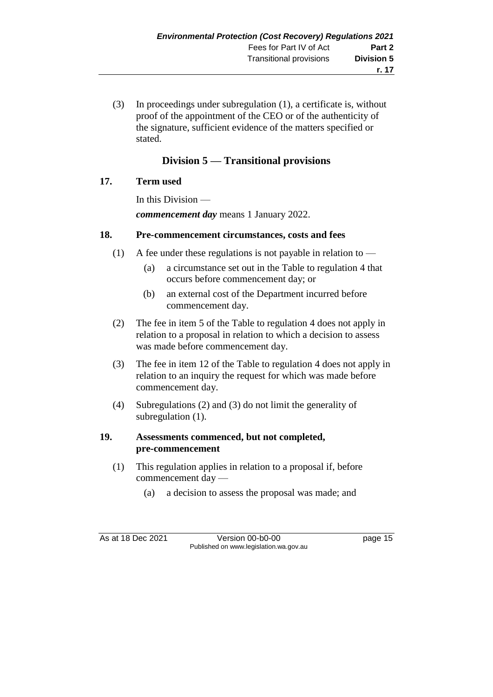(3) In proceedings under subregulation (1), a certificate is, without proof of the appointment of the CEO or of the authenticity of the signature, sufficient evidence of the matters specified or stated.

### **Division 5 — Transitional provisions**

#### **17. Term used**

In this Division *commencement day* means 1 January 2022.

#### **18. Pre-commencement circumstances, costs and fees**

- (1) A fee under these regulations is not payable in relation to  $-$ 
	- (a) a circumstance set out in the Table to regulation 4 that occurs before commencement day; or
	- (b) an external cost of the Department incurred before commencement day.
- (2) The fee in item 5 of the Table to regulation 4 does not apply in relation to a proposal in relation to which a decision to assess was made before commencement day.
- (3) The fee in item 12 of the Table to regulation 4 does not apply in relation to an inquiry the request for which was made before commencement day.
- (4) Subregulations (2) and (3) do not limit the generality of subregulation (1).

#### **19. Assessments commenced, but not completed, pre-commencement**

- (1) This regulation applies in relation to a proposal if, before commencement day —
	- (a) a decision to assess the proposal was made; and

As at 18 Dec 2021 Version 00-b0-00 page 15 Published on www.legislation.wa.gov.au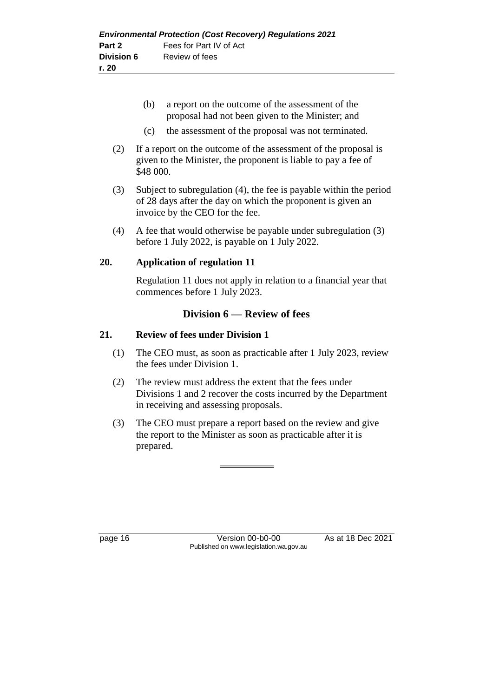- (b) a report on the outcome of the assessment of the proposal had not been given to the Minister; and
- (c) the assessment of the proposal was not terminated.
- (2) If a report on the outcome of the assessment of the proposal is given to the Minister, the proponent is liable to pay a fee of \$48 000.
- (3) Subject to subregulation (4), the fee is payable within the period of 28 days after the day on which the proponent is given an invoice by the CEO for the fee.
- (4) A fee that would otherwise be payable under subregulation (3) before 1 July 2022, is payable on 1 July 2022.

#### **20. Application of regulation 11**

Regulation 11 does not apply in relation to a financial year that commences before 1 July 2023.

#### **Division 6 — Review of fees**

#### **21. Review of fees under Division 1**

- (1) The CEO must, as soon as practicable after 1 July 2023, review the fees under Division 1.
- (2) The review must address the extent that the fees under Divisions 1 and 2 recover the costs incurred by the Department in receiving and assessing proposals.
- (3) The CEO must prepare a report based on the review and give the report to the Minister as soon as practicable after it is prepared.

page 16 Version 00-b0-00 As at 18 Dec 2021 Published on www.legislation.wa.gov.au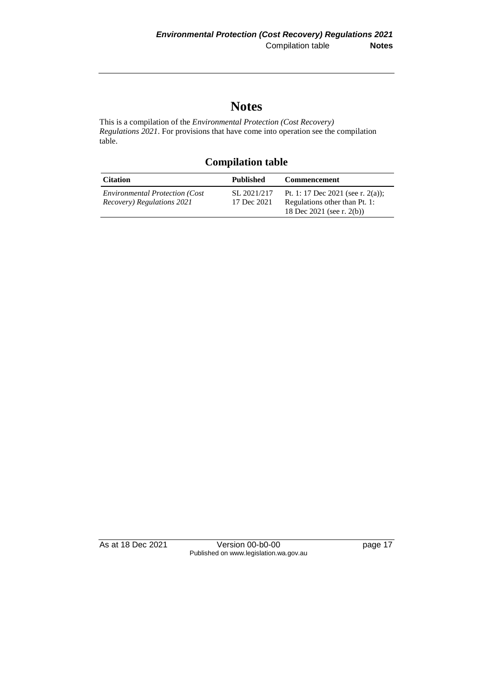## **Notes**

This is a compilation of the *Environmental Protection (Cost Recovery) Regulations 2021*. For provisions that have come into operation see the compilation table.

**Compilation table**

| <b>Citation</b>                                                     | <b>Published</b>           | <b>Commencement</b>                                                |
|---------------------------------------------------------------------|----------------------------|--------------------------------------------------------------------|
| <i>Environmental Protection (Cost</i><br>Recovery) Regulations 2021 | SL 2021/217<br>17 Dec 2021 | Pt. 1: 17 Dec 2021 (see r. 2(a));<br>Regulations other than Pt. 1: |
|                                                                     |                            | 18 Dec 2021 (see r. 2(b))                                          |

| As at 18 Dec 2021 | Version 00-b0-00                       | page 17 |
|-------------------|----------------------------------------|---------|
|                   | Published on www.legislation.wa.gov.au |         |